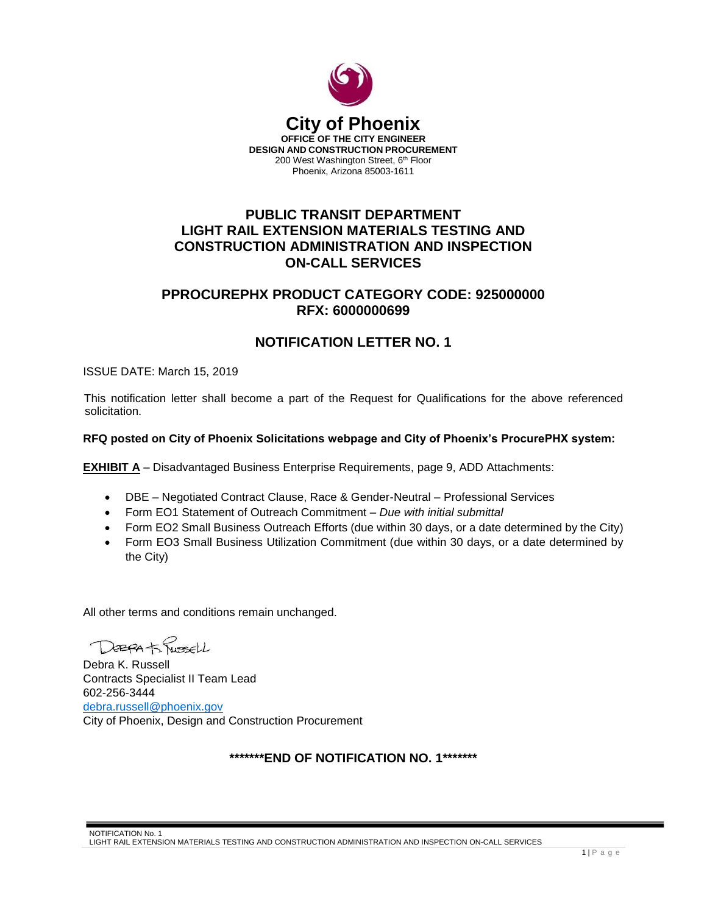

# **PUBLIC TRANSIT DEPARTMENT LIGHT RAIL EXTENSION MATERIALS TESTING AND CONSTRUCTION ADMINISTRATION AND INSPECTION ON-CALL SERVICES**

## **PPROCUREPHX PRODUCT CATEGORY CODE: 925000000 RFX: 6000000699**

# **NOTIFICATION LETTER NO. 1**

ISSUE DATE: March 15, 2019

This notification letter shall become a part of the Request for Qualifications for the above referenced solicitation.

### **RFQ posted on City of Phoenix Solicitations webpage and City of Phoenix's ProcurePHX system:**

**EXHIBIT A** – Disadvantaged Business Enterprise Requirements, page 9, ADD Attachments:

- DBE Negotiated Contract Clause, Race & Gender-Neutral Professional Services
- Form EO1 Statement of Outreach Commitment *Due with initial submittal*
- Form EO2 Small Business Outreach Efforts (due within 30 days, or a date determined by the City)
- Form EO3 Small Business Utilization Commitment (due within 30 days, or a date determined by the City)

All other terms and conditions remain unchanged.

DEBRA to Russell

Debra K. Russell Contracts Specialist II Team Lead 602-256-3444 [debra.russell@phoenix.gov](mailto:debra.russell@phoenix.gov) City of Phoenix, Design and Construction Procurement

## **\*\*\*\*\*\*\*END OF NOTIFICATION NO. 1\*\*\*\*\*\*\***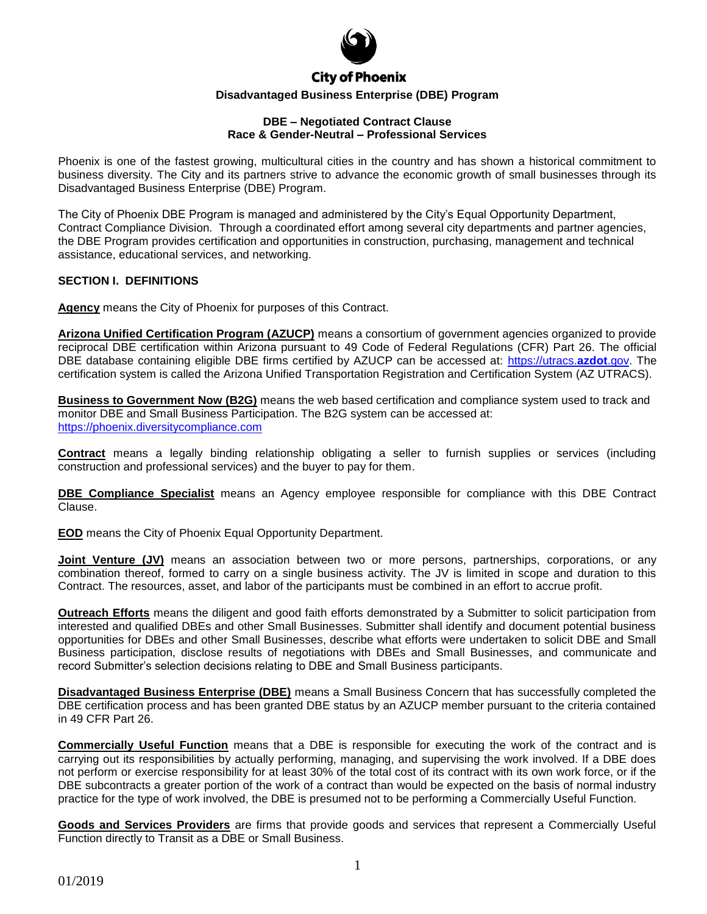

## **City of Phoenix**

#### **Disadvantaged Business Enterprise (DBE) Program**

#### **DBE – Negotiated Contract Clause Race & Gender-Neutral – Professional Services**

Phoenix is one of the fastest growing, multicultural cities in the country and has shown a historical commitment to business diversity. The City and its partners strive to advance the economic growth of small businesses through its Disadvantaged Business Enterprise (DBE) Program.

The City of Phoenix DBE Program is managed and administered by the City's Equal Opportunity Department, Contract Compliance Division. Through a coordinated effort among several city departments and partner agencies, the DBE Program provides certification and opportunities in construction, purchasing, management and technical assistance, educational services, and networking.

#### **SECTION I. DEFINITIONS**

**Agency** means the City of Phoenix for purposes of this Contract.

**Arizona Unified Certification Program (AZUCP)** means a consortium of government agencies organized to provide reciprocal DBE certification within Arizona pursuant to 49 Code of Federal Regulations (CFR) Part 26. The official DBE database containing eligible DBE firms certified by AZUCP can be accessed at: [https://utracs.](https://utracs.azdot.gov/)**azdot**.gov. The certification system is called the Arizona Unified Transportation Registration and Certification System (AZ UTRACS).

**Business to Government Now (B2G)** means the web based certification and compliance system used to track and monitor DBE and Small Business Participation. The B2G system can be accessed at: [https://phoenix.diversitycompliance.com](https://phoenix.diversitycompliance.com/)

**Contract** means a legally binding relationship obligating a seller to furnish supplies or services (including construction and professional services) and the buyer to pay for them.

**DBE Compliance Specialist** means an Agency employee responsible for compliance with this DBE Contract Clause.

**EOD** means the City of Phoenix Equal Opportunity Department.

**Joint Venture (JV)** means an association between two or more persons, partnerships, corporations, or any combination thereof, formed to carry on a single business activity. The JV is limited in scope and duration to this Contract. The resources, asset, and labor of the participants must be combined in an effort to accrue profit.

**Outreach Efforts** means the diligent and good faith efforts demonstrated by a Submitter to solicit participation from interested and qualified DBEs and other Small Businesses. Submitter shall identify and document potential business opportunities for DBEs and other Small Businesses, describe what efforts were undertaken to solicit DBE and Small Business participation, disclose results of negotiations with DBEs and Small Businesses, and communicate and record Submitter's selection decisions relating to DBE and Small Business participants.

**Disadvantaged Business Enterprise (DBE)** means a Small Business Concern that has successfully completed the DBE certification process and has been granted DBE status by an AZUCP member pursuant to the criteria contained in 49 CFR Part 26.

**Commercially Useful Function** means that a DBE is responsible for executing the work of the contract and is carrying out its responsibilities by actually performing, managing, and supervising the work involved. If a DBE does not perform or exercise responsibility for at least 30% of the total cost of its contract with its own work force, or if the DBE subcontracts a greater portion of the work of a contract than would be expected on the basis of normal industry practice for the type of work involved, the DBE is presumed not to be performing a Commercially Useful Function.

**Goods and Services Providers** are firms that provide goods and services that represent a Commercially Useful Function directly to Transit as a DBE or Small Business.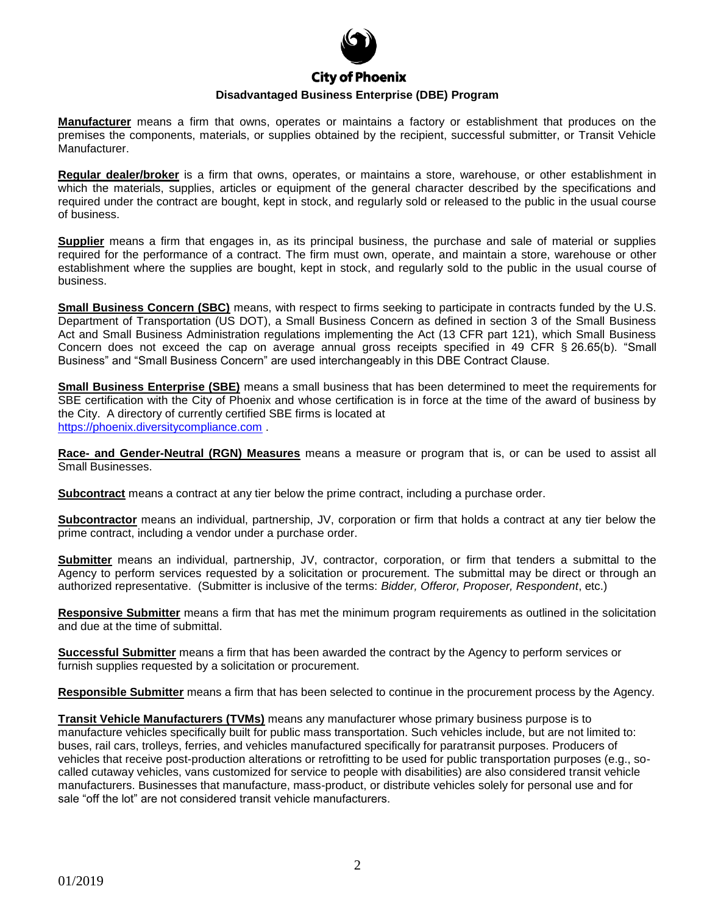

**Manufacturer** means a firm that owns, operates or maintains a factory or establishment that produces on the premises the components, materials, or supplies obtained by the recipient, successful submitter, or Transit Vehicle Manufacturer.

**Regular dealer/broker** is a firm that owns, operates, or maintains a store, warehouse, or other establishment in which the materials, supplies, articles or equipment of the general character described by the specifications and required under the contract are bought, kept in stock, and regularly sold or released to the public in the usual course of business.

**Supplier** means a firm that engages in, as its principal business, the purchase and sale of material or supplies required for the performance of a contract. The firm must own, operate, and maintain a store, warehouse or other establishment where the supplies are bought, kept in stock, and regularly sold to the public in the usual course of business.

**Small Business Concern (SBC)** means, with respect to firms seeking to participate in contracts funded by the U.S. Department of Transportation (US DOT), a Small Business Concern as defined in section 3 of the Small Business Act and Small Business Administration regulations implementing the Act (13 CFR part 121), which Small Business Concern does not exceed the cap on average annual gross receipts specified in 49 CFR § 26.65(b). "Small Business" and "Small Business Concern" are used interchangeably in this DBE Contract Clause.

**Small Business Enterprise (SBE)** means a small business that has been determined to meet the requirements for SBE certification with the City of Phoenix and whose certification is in force at the time of the award of business by the City. A directory of currently certified SBE firms is located at [https://phoenix.diversitycompliance.com](https://phoenix.diversitycompliance.com/) .

**Race- and Gender-Neutral (RGN) Measures** means a measure or program that is, or can be used to assist all Small Businesses.

**Subcontract** means a contract at any tier below the prime contract, including a purchase order.

**Subcontractor** means an individual, partnership, JV, corporation or firm that holds a contract at any tier below the prime contract, including a vendor under a purchase order.

**Submitter** means an individual, partnership, JV, contractor, corporation, or firm that tenders a submittal to the Agency to perform services requested by a solicitation or procurement. The submittal may be direct or through an authorized representative. (Submitter is inclusive of the terms: *Bidder, Offeror, Proposer, Respondent*, etc.)

**Responsive Submitter** means a firm that has met the minimum program requirements as outlined in the solicitation and due at the time of submittal.

**Successful Submitter** means a firm that has been awarded the contract by the Agency to perform services or furnish supplies requested by a solicitation or procurement.

**Responsible Submitter** means a firm that has been selected to continue in the procurement process by the Agency.

**Transit Vehicle Manufacturers (TVMs)** means any manufacturer whose primary business purpose is to manufacture vehicles specifically built for public mass transportation. Such vehicles include, but are not limited to: buses, rail cars, trolleys, ferries, and vehicles manufactured specifically for paratransit purposes. Producers of vehicles that receive post-production alterations or retrofitting to be used for public transportation purposes (e.g., socalled cutaway vehicles, vans customized for service to people with disabilities) are also considered transit vehicle manufacturers. Businesses that manufacture, mass-product, or distribute vehicles solely for personal use and for sale "off the lot" are not considered transit vehicle manufacturers.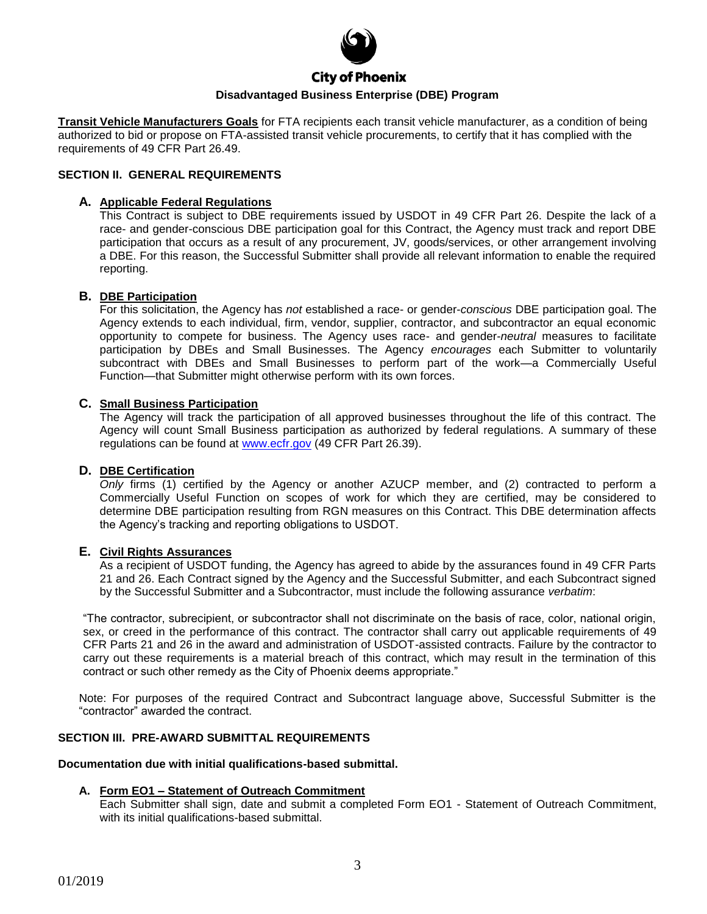

# **City of Phoenix**

## **Disadvantaged Business Enterprise (DBE) Program**

**Transit Vehicle Manufacturers Goals** for FTA recipients each transit vehicle manufacturer, as a condition of being authorized to bid or propose on FTA-assisted transit vehicle procurements, to certify that it has complied with the requirements of 49 CFR Part 26.49.

#### **SECTION II. GENERAL REQUIREMENTS**

#### **A. Applicable Federal Regulations**

This Contract is subject to DBE requirements issued by USDOT in 49 CFR Part 26. Despite the lack of a race- and gender-conscious DBE participation goal for this Contract, the Agency must track and report DBE participation that occurs as a result of any procurement, JV, goods/services, or other arrangement involving a DBE. For this reason, the Successful Submitter shall provide all relevant information to enable the required reporting.

#### **B. DBE Participation**

For this solicitation, the Agency has *not* established a race- or gender-*conscious* DBE participation goal. The Agency extends to each individual, firm, vendor, supplier, contractor, and subcontractor an equal economic opportunity to compete for business. The Agency uses race- and gender-*neutral* measures to facilitate participation by DBEs and Small Businesses. The Agency *encourages* each Submitter to voluntarily subcontract with DBEs and Small Businesses to perform part of the work—a Commercially Useful Function—that Submitter might otherwise perform with its own forces.

#### **C. Small Business Participation**

The Agency will track the participation of all approved businesses throughout the life of this contract. The Agency will count Small Business participation as authorized by federal regulations. A summary of these regulations can be found at [www.ecfr.gov](http://www.ecfr.gov/) (49 CFR Part 26.39).

#### **D. DBE Certification**

*Only* firms (1) certified by the Agency or another AZUCP member, and (2) contracted to perform a Commercially Useful Function on scopes of work for which they are certified, may be considered to determine DBE participation resulting from RGN measures on this Contract. This DBE determination affects the Agency's tracking and reporting obligations to USDOT.

#### **E. Civil Rights Assurances**

As a recipient of USDOT funding, the Agency has agreed to abide by the assurances found in 49 CFR Parts 21 and 26. Each Contract signed by the Agency and the Successful Submitter, and each Subcontract signed by the Successful Submitter and a Subcontractor, must include the following assurance *verbatim*:

"The contractor, subrecipient, or subcontractor shall not discriminate on the basis of race, color, national origin, sex, or creed in the performance of this contract. The contractor shall carry out applicable requirements of 49 CFR Parts 21 and 26 in the award and administration of USDOT-assisted contracts. Failure by the contractor to carry out these requirements is a material breach of this contract, which may result in the termination of this contract or such other remedy as the City of Phoenix deems appropriate."

Note: For purposes of the required Contract and Subcontract language above, Successful Submitter is the "contractor" awarded the contract.

#### **SECTION III. PRE-AWARD SUBMITTAL REQUIREMENTS**

#### **Documentation due with initial qualifications-based submittal.**

#### **A. Form EO1 – Statement of Outreach Commitment**

Each Submitter shall sign, date and submit a completed Form EO1 - Statement of Outreach Commitment, with its initial qualifications-based submittal.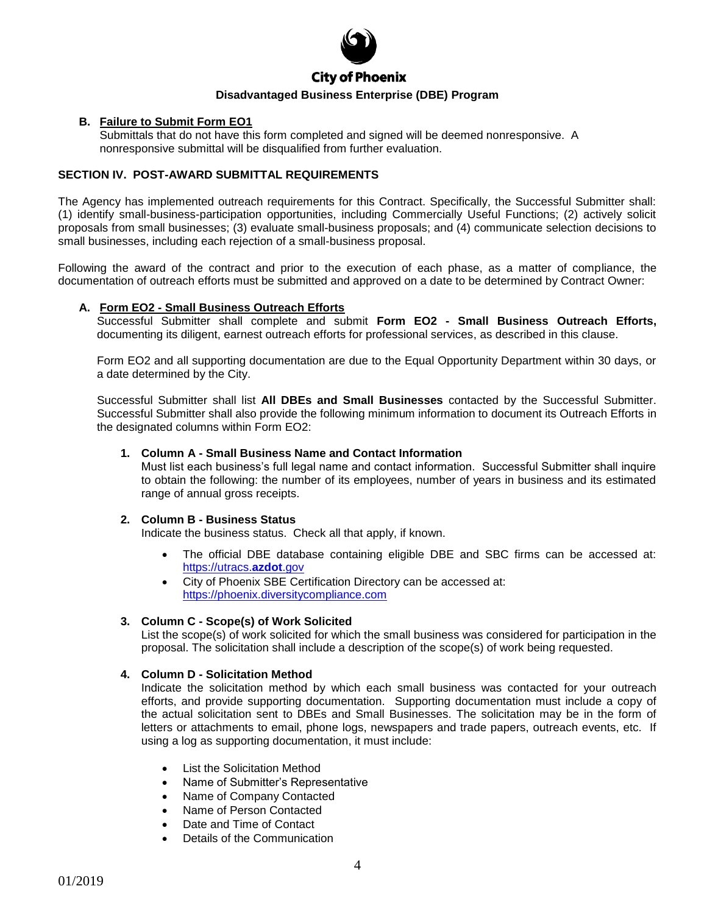

#### **B. Failure to Submit Form EO1**

Submittals that do not have this form completed and signed will be deemed nonresponsive. A nonresponsive submittal will be disqualified from further evaluation.

#### **SECTION IV. POST-AWARD SUBMITTAL REQUIREMENTS**

The Agency has implemented outreach requirements for this Contract. Specifically, the Successful Submitter shall: (1) identify small-business-participation opportunities, including Commercially Useful Functions; (2) actively solicit proposals from small businesses; (3) evaluate small-business proposals; and (4) communicate selection decisions to small businesses, including each rejection of a small-business proposal.

Following the award of the contract and prior to the execution of each phase, as a matter of compliance, the documentation of outreach efforts must be submitted and approved on a date to be determined by Contract Owner:

#### **A. Form EO2 - Small Business Outreach Efforts**

Successful Submitter shall complete and submit **Form EO2 - Small Business Outreach Efforts,** documenting its diligent, earnest outreach efforts for professional services, as described in this clause.

Form EO2 and all supporting documentation are due to the Equal Opportunity Department within 30 days, or a date determined by the City.

Successful Submitter shall list **All DBEs and Small Businesses** contacted by the Successful Submitter. Successful Submitter shall also provide the following minimum information to document its Outreach Efforts in the designated columns within Form EO2:

#### **1. Column A - Small Business Name and Contact Information**

Must list each business's full legal name and contact information. Successful Submitter shall inquire to obtain the following: the number of its employees, number of years in business and its estimated range of annual gross receipts.

#### **2. Column B - Business Status**

Indicate the business status. Check all that apply, if known.

- The official DBE database containing eligible DBE and SBC firms can be accessed at: [https://utracs.](https://utracs.azdot.gov/)**azdot**.gov
- City of Phoenix SBE Certification Directory can be accessed at: [https://phoenix.diversitycompliance.com](https://phoenix.diversitycompliance.com/)

#### **3. Column C - Scope(s) of Work Solicited**

List the scope(s) of work solicited for which the small business was considered for participation in the proposal. The solicitation shall include a description of the scope(s) of work being requested.

#### **4. Column D - Solicitation Method**

Indicate the solicitation method by which each small business was contacted for your outreach efforts, and provide supporting documentation. Supporting documentation must include a copy of the actual solicitation sent to DBEs and Small Businesses. The solicitation may be in the form of letters or attachments to email, phone logs, newspapers and trade papers, outreach events, etc. If using a log as supporting documentation, it must include:

- List the Solicitation Method
- Name of Submitter's Representative
- Name of Company Contacted
- Name of Person Contacted
- Date and Time of Contact
- Details of the Communication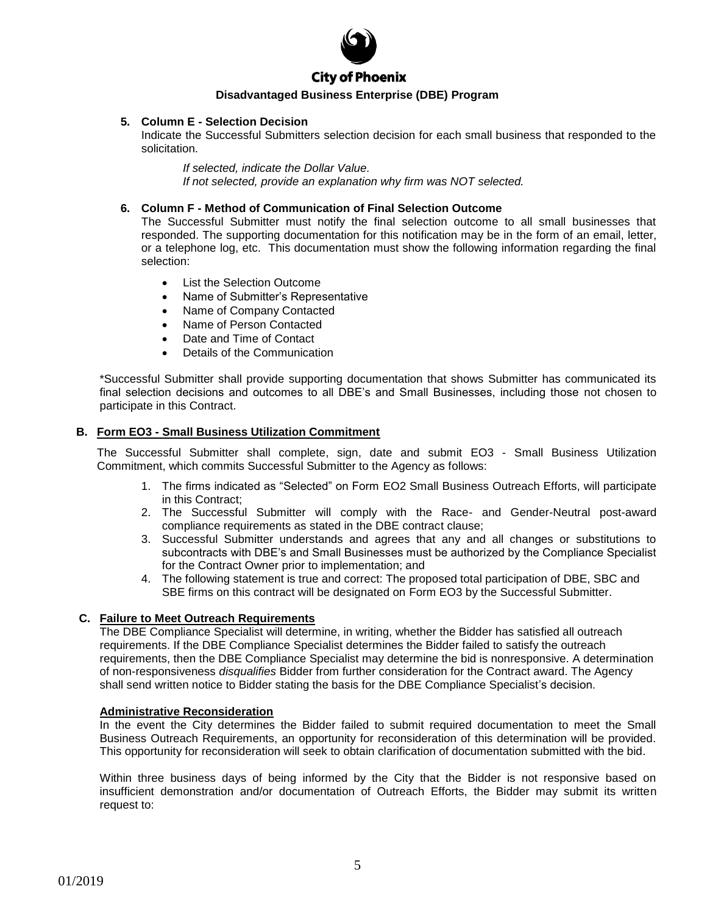

#### **5. Column E - Selection Decision**

Indicate the Successful Submitters selection decision for each small business that responded to the solicitation.

*If selected, indicate the Dollar Value. If not selected, provide an explanation why firm was NOT selected.*

#### **6. Column F - Method of Communication of Final Selection Outcome**

The Successful Submitter must notify the final selection outcome to all small businesses that responded. The supporting documentation for this notification may be in the form of an email, letter, or a telephone log, etc. This documentation must show the following information regarding the final selection:

- List the Selection Outcome
- Name of Submitter's Representative
- Name of Company Contacted
- Name of Person Contacted
- Date and Time of Contact
- Details of the Communication

\*Successful Submitter shall provide supporting documentation that shows Submitter has communicated its final selection decisions and outcomes to all DBE's and Small Businesses, including those not chosen to participate in this Contract.

#### **B. Form EO3 - Small Business Utilization Commitment**

The Successful Submitter shall complete, sign, date and submit EO3 - Small Business Utilization Commitment, which commits Successful Submitter to the Agency as follows:

- 1. The firms indicated as "Selected" on Form EO2 Small Business Outreach Efforts, will participate in this Contract;
- 2. The Successful Submitter will comply with the Race- and Gender-Neutral post-award compliance requirements as stated in the DBE contract clause;
- 3. Successful Submitter understands and agrees that any and all changes or substitutions to subcontracts with DBE's and Small Businesses must be authorized by the Compliance Specialist for the Contract Owner prior to implementation; and
- 4. The following statement is true and correct: The proposed total participation of DBE, SBC and SBE firms on this contract will be designated on Form EO3 by the Successful Submitter.

#### **C. Failure to Meet Outreach Requirements**

The DBE Compliance Specialist will determine, in writing, whether the Bidder has satisfied all outreach requirements. If the DBE Compliance Specialist determines the Bidder failed to satisfy the outreach requirements, then the DBE Compliance Specialist may determine the bid is nonresponsive. A determination of non-responsiveness *disqualifies* Bidder from further consideration for the Contract award. The Agency shall send written notice to Bidder stating the basis for the DBE Compliance Specialist's decision.

#### **Administrative Reconsideration**

In the event the City determines the Bidder failed to submit required documentation to meet the Small Business Outreach Requirements, an opportunity for reconsideration of this determination will be provided. This opportunity for reconsideration will seek to obtain clarification of documentation submitted with the bid.

Within three business days of being informed by the City that the Bidder is not responsive based on insufficient demonstration and/or documentation of Outreach Efforts, the Bidder may submit its written request to: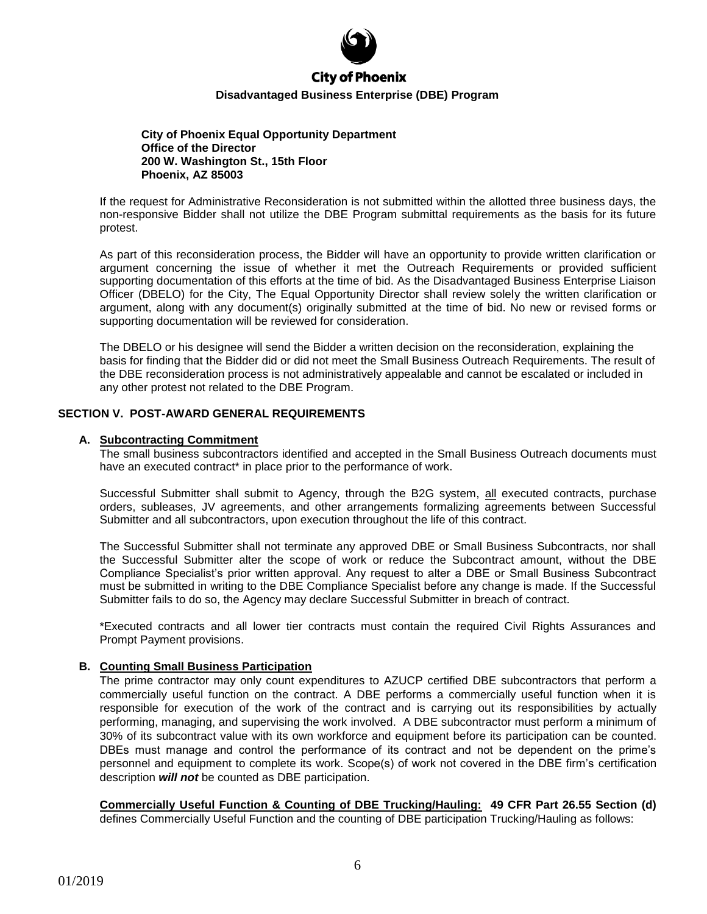

**City of Phoenix Equal Opportunity Department Office of the Director 200 W. Washington St., 15th Floor Phoenix, AZ 85003**

If the request for Administrative Reconsideration is not submitted within the allotted three business days, the non-responsive Bidder shall not utilize the DBE Program submittal requirements as the basis for its future protest.

As part of this reconsideration process, the Bidder will have an opportunity to provide written clarification or argument concerning the issue of whether it met the Outreach Requirements or provided sufficient supporting documentation of this efforts at the time of bid. As the Disadvantaged Business Enterprise Liaison Officer (DBELO) for the City, The Equal Opportunity Director shall review solely the written clarification or argument, along with any document(s) originally submitted at the time of bid. No new or revised forms or supporting documentation will be reviewed for consideration.

The DBELO or his designee will send the Bidder a written decision on the reconsideration, explaining the basis for finding that the Bidder did or did not meet the Small Business Outreach Requirements. The result of the DBE reconsideration process is not administratively appealable and cannot be escalated or included in any other protest not related to the DBE Program.

#### **SECTION V. POST-AWARD GENERAL REQUIREMENTS**

#### **A. Subcontracting Commitment**

The small business subcontractors identified and accepted in the Small Business Outreach documents must have an executed contract<sup>\*</sup> in place prior to the performance of work.

Successful Submitter shall submit to Agency, through the B2G system, all executed contracts, purchase orders, subleases, JV agreements, and other arrangements formalizing agreements between Successful Submitter and all subcontractors, upon execution throughout the life of this contract.

The Successful Submitter shall not terminate any approved DBE or Small Business Subcontracts, nor shall the Successful Submitter alter the scope of work or reduce the Subcontract amount, without the DBE Compliance Specialist's prior written approval. Any request to alter a DBE or Small Business Subcontract must be submitted in writing to the DBE Compliance Specialist before any change is made. If the Successful Submitter fails to do so, the Agency may declare Successful Submitter in breach of contract.

\*Executed contracts and all lower tier contracts must contain the required Civil Rights Assurances and Prompt Payment provisions.

#### **B. Counting Small Business Participation**

The prime contractor may only count expenditures to AZUCP certified DBE subcontractors that perform a commercially useful function on the contract. A DBE performs a commercially useful function when it is responsible for execution of the work of the contract and is carrying out its responsibilities by actually performing, managing, and supervising the work involved. A DBE subcontractor must perform a minimum of 30% of its subcontract value with its own workforce and equipment before its participation can be counted. DBEs must manage and control the performance of its contract and not be dependent on the prime's personnel and equipment to complete its work. Scope(s) of work not covered in the DBE firm's certification description *will not* be counted as DBE participation.

**Commercially Useful Function & Counting of DBE Trucking/Hauling: 49 CFR Part 26.55 Section (d)** defines Commercially Useful Function and the counting of DBE participation Trucking/Hauling as follows: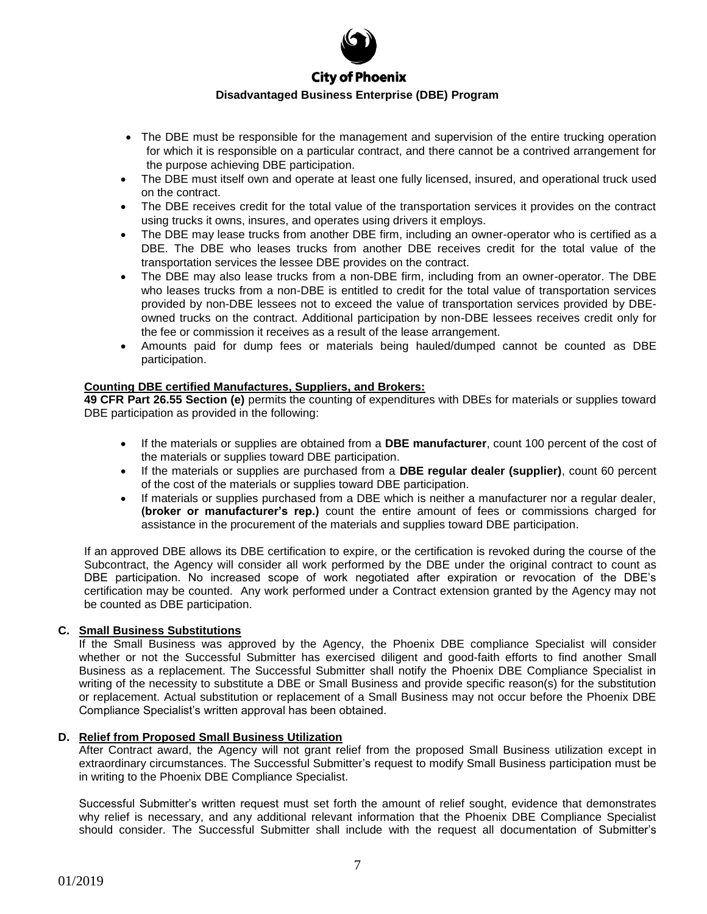

- The DBE must be responsible for the management and supervision of the entire trucking operation for which it is responsible on a particular contract, and there cannot be a contrived arrangement for the purpose achieving DBE participation.
- The DBE must itself own and operate at least one fully licensed, insured, and operational truck used on the contract.
- The DBE receives credit for the total value of the transportation services it provides on the contract using trucks it owns, insures, and operates using drivers it employs.
- The DBE may lease trucks from another DBE firm, including an owner-operator who is certified as a DBE. The DBE who leases trucks from another DBE receives credit for the total value of the transportation services the lessee DBE provides on the contract.
- The DBE may also lease trucks from a non-DBE firm, including from an owner-operator. The DBE who leases trucks from a non-DBE is entitled to credit for the total value of transportation services provided by non-DBE lessees not to exceed the value of transportation services provided by DBEowned trucks on the contract. Additional participation by non-DBE lessees receives credit only for the fee or commission it receives as a result of the lease arrangement.
- Amounts paid for dump fees or materials being hauled/dumped cannot be counted as DBE participation.

#### **Counting DBE certified Manufactures, Suppliers, and Brokers:**

**49 CFR Part 26.55 Section (e)** permits the counting of expenditures with DBEs for materials or supplies toward DBE participation as provided in the following:

- If the materials or supplies are obtained from a **DBE manufacturer**, count 100 percent of the cost of the materials or supplies toward DBE participation.
- If the materials or supplies are purchased from a **DBE regular dealer (supplier)**, count 60 percent of the cost of the materials or supplies toward DBE participation.
- If materials or supplies purchased from a DBE which is neither a manufacturer nor a regular dealer, **(broker or manufacturer's rep.)** count the entire amount of fees or commissions charged for assistance in the procurement of the materials and supplies toward DBE participation.

If an approved DBE allows its DBE certification to expire, or the certification is revoked during the course of the Subcontract, the Agency will consider all work performed by the DBE under the original contract to count as DBE participation. No increased scope of work negotiated after expiration or revocation of the DBE's certification may be counted. Any work performed under a Contract extension granted by the Agency may not be counted as DBE participation.

#### **C. Small Business Substitutions**

If the Small Business was approved by the Agency, the Phoenix DBE compliance Specialist will consider whether or not the Successful Submitter has exercised diligent and good-faith efforts to find another Small Business as a replacement. The Successful Submitter shall notify the Phoenix DBE Compliance Specialist in writing of the necessity to substitute a DBE or Small Business and provide specific reason(s) for the substitution or replacement. Actual substitution or replacement of a Small Business may not occur before the Phoenix DBE Compliance Specialist's written approval has been obtained.

#### **D. Relief from Proposed Small Business Utilization**

After Contract award, the Agency will not grant relief from the proposed Small Business utilization except in extraordinary circumstances. The Successful Submitter's request to modify Small Business participation must be in writing to the Phoenix DBE Compliance Specialist.

Successful Submitter's written request must set forth the amount of relief sought, evidence that demonstrates why relief is necessary, and any additional relevant information that the Phoenix DBE Compliance Specialist should consider. The Successful Submitter shall include with the request all documentation of Submitter's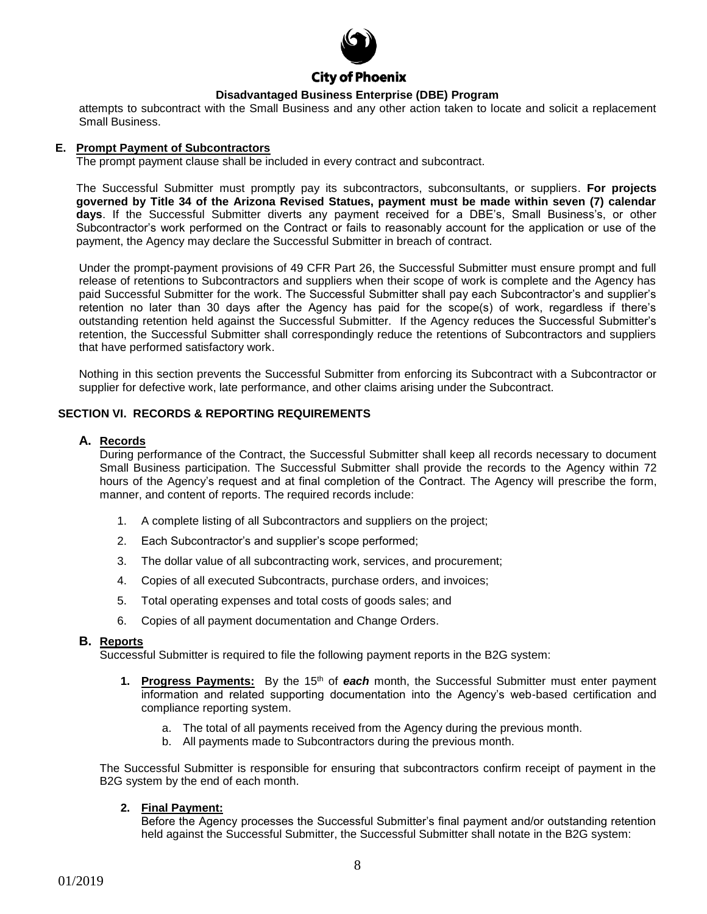

attempts to subcontract with the Small Business and any other action taken to locate and solicit a replacement Small Business.

#### **E. Prompt Payment of Subcontractors**

The prompt payment clause shall be included in every contract and subcontract.

The Successful Submitter must promptly pay its subcontractors, subconsultants, or suppliers. **For projects governed by Title 34 of the Arizona Revised Statues, payment must be made within seven (7) calendar days**. If the Successful Submitter diverts any payment received for a DBE's, Small Business's, or other Subcontractor's work performed on the Contract or fails to reasonably account for the application or use of the payment, the Agency may declare the Successful Submitter in breach of contract.

Under the prompt-payment provisions of 49 CFR Part 26, the Successful Submitter must ensure prompt and full release of retentions to Subcontractors and suppliers when their scope of work is complete and the Agency has paid Successful Submitter for the work. The Successful Submitter shall pay each Subcontractor's and supplier's retention no later than 30 days after the Agency has paid for the scope(s) of work, regardless if there's outstanding retention held against the Successful Submitter. If the Agency reduces the Successful Submitter's retention, the Successful Submitter shall correspondingly reduce the retentions of Subcontractors and suppliers that have performed satisfactory work.

Nothing in this section prevents the Successful Submitter from enforcing its Subcontract with a Subcontractor or supplier for defective work, late performance, and other claims arising under the Subcontract.

#### **SECTION VI. RECORDS & REPORTING REQUIREMENTS**

#### **A. Records**

During performance of the Contract, the Successful Submitter shall keep all records necessary to document Small Business participation. The Successful Submitter shall provide the records to the Agency within 72 hours of the Agency's request and at final completion of the Contract. The Agency will prescribe the form, manner, and content of reports. The required records include:

- 1. A complete listing of all Subcontractors and suppliers on the project;
- 2. Each Subcontractor's and supplier's scope performed;
- 3. The dollar value of all subcontracting work, services, and procurement;
- 4. Copies of all executed Subcontracts, purchase orders, and invoices;
- 5. Total operating expenses and total costs of goods sales; and
- 6. Copies of all payment documentation and Change Orders.

#### **B. Reports**

Successful Submitter is required to file the following payment reports in the B2G system:

- **1. Progress Payments:** By the 15th of *each* month, the Successful Submitter must enter payment information and related supporting documentation into the Agency's web-based certification and compliance reporting system.
	- a. The total of all payments received from the Agency during the previous month.
	- b. All payments made to Subcontractors during the previous month.

The Successful Submitter is responsible for ensuring that subcontractors confirm receipt of payment in the B2G system by the end of each month.

#### **2. Final Payment:**

Before the Agency processes the Successful Submitter's final payment and/or outstanding retention held against the Successful Submitter, the Successful Submitter shall notate in the B2G system: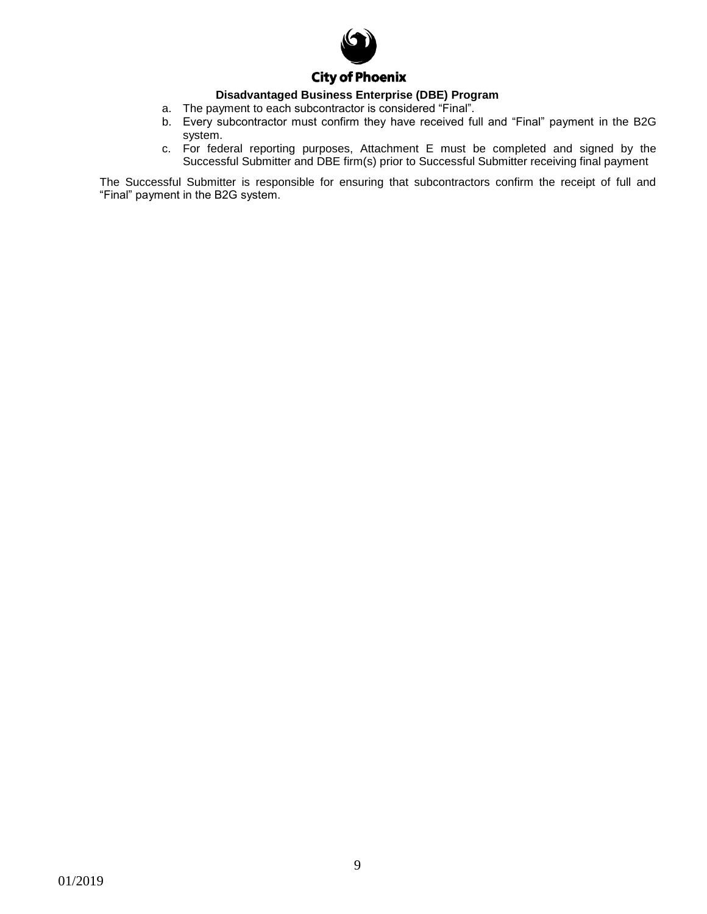

- a. The payment to each subcontractor is considered "Final".
- b. Every subcontractor must confirm they have received full and "Final" payment in the B2G system.
- c. For federal reporting purposes, Attachment E must be completed and signed by the Successful Submitter and DBE firm(s) prior to Successful Submitter receiving final payment

The Successful Submitter is responsible for ensuring that subcontractors confirm the receipt of full and "Final" payment in the B2G system.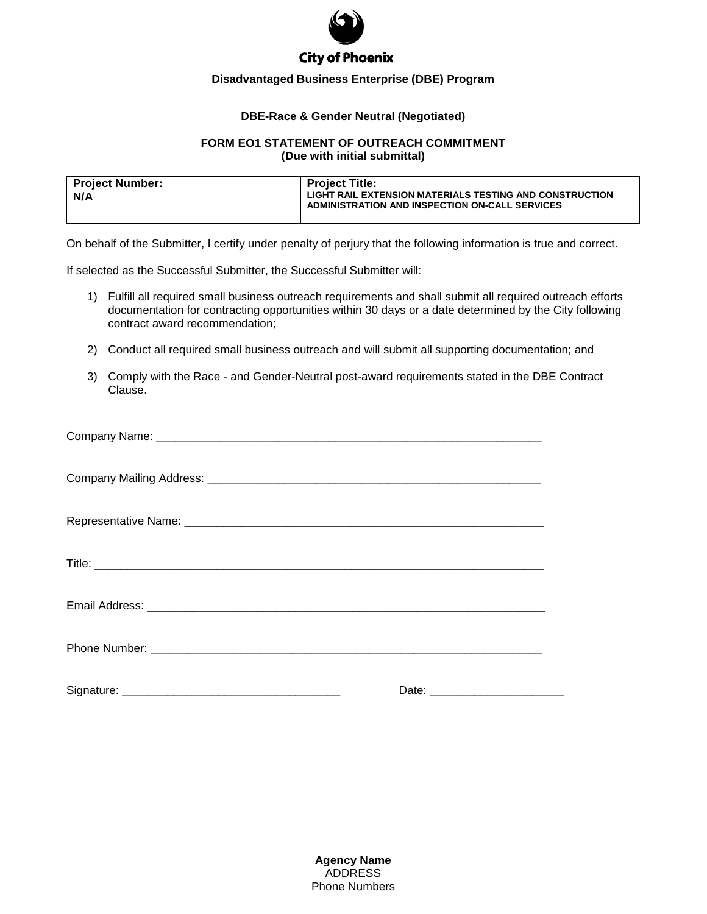

#### **DBE-Race & Gender Neutral (Negotiated)**

#### **FORM EO1 STATEMENT OF OUTREACH COMMITMENT (Due with initial submittal)**

| Project Number:<br>N/A | <b>Project Title:</b><br><b>LIGHT RAIL EXTENSION MATERIALS TESTING AND CONSTRUCTION</b><br>ADMINISTRATION AND INSPECTION ON-CALL SERVICES |  |  |  |
|------------------------|-------------------------------------------------------------------------------------------------------------------------------------------|--|--|--|
|                        |                                                                                                                                           |  |  |  |

On behalf of the Submitter, I certify under penalty of perjury that the following information is true and correct.

If selected as the Successful Submitter, the Successful Submitter will:

- 1) Fulfill all required small business outreach requirements and shall submit all required outreach efforts documentation for contracting opportunities within 30 days or a date determined by the City following contract award recommendation;
- 2) Conduct all required small business outreach and will submit all supporting documentation; and
- 3) Comply with the Race and Gender-Neutral post-award requirements stated in the DBE Contract Clause.

**Agency Name** ADDRESS Phone Numbers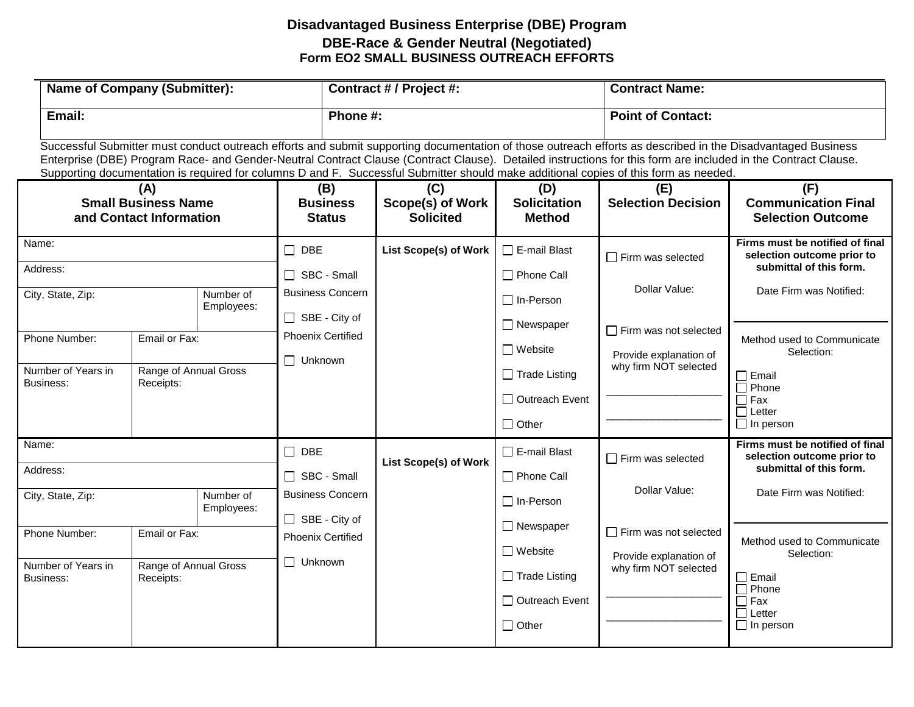# **Disadvantaged Business Enterprise (DBE) Program DBE-Race & Gender Neutral (Negotiated) Form EO2 SMALL BUSINESS OUTREACH EFFORTS**

| <b>Name of Company (Submitter):</b>                          |                                    | Contract # / Project #:                 |                                                 | <b>Contract Name:</b>                       |                                                          |                                                                                                                                      |                                                                                                                                                                                                                                                                                                                              |
|--------------------------------------------------------------|------------------------------------|-----------------------------------------|-------------------------------------------------|---------------------------------------------|----------------------------------------------------------|--------------------------------------------------------------------------------------------------------------------------------------|------------------------------------------------------------------------------------------------------------------------------------------------------------------------------------------------------------------------------------------------------------------------------------------------------------------------------|
| Email:                                                       |                                    |                                         |                                                 | Phone #:                                    |                                                          | <b>Point of Contact:</b>                                                                                                             |                                                                                                                                                                                                                                                                                                                              |
|                                                              |                                    |                                         |                                                 |                                             |                                                          | Supporting documentation is required for columns D and F. Successful Submitter should make additional copies of this form as needed. | Successful Submitter must conduct outreach efforts and submit supporting documentation of those outreach efforts as described in the Disadvantaged Business<br>Enterprise (DBE) Program Race- and Gender-Neutral Contract Clause (Contract Clause). Detailed instructions for this form are included in the Contract Clause. |
| (A)<br><b>Small Business Name</b><br>and Contact Information |                                    | (B)<br><b>Business</b><br><b>Status</b> | (C)<br>Scope(s) of Work<br><b>Solicited</b>     | (D)<br><b>Solicitation</b><br><b>Method</b> | (E)<br><b>Selection Decision</b>                         | (F)<br><b>Communication Final</b><br><b>Selection Outcome</b>                                                                        |                                                                                                                                                                                                                                                                                                                              |
| Name:<br>Address:                                            |                                    |                                         | $\Box$ DBE<br>SBC - Small                       | List Scope(s) of Work                       | $\Box$ E-mail Blast<br>□ Phone Call                      | $\Box$ Firm was selected                                                                                                             | Firms must be notified of final<br>selection outcome prior to<br>submittal of this form.                                                                                                                                                                                                                                     |
| City, State, Zip:                                            |                                    | Number of<br>Employees:                 | <b>Business Concern</b><br>$\Box$ SBE - City of |                                             | $\Box$ In-Person                                         | Dollar Value:                                                                                                                        | Date Firm was Notified:                                                                                                                                                                                                                                                                                                      |
| Phone Number:                                                | Email or Fax:                      |                                         | <b>Phoenix Certified</b><br>$\Box$ Unknown      |                                             | $\Box$ Newspaper<br>$\Box$ Website                       | $\Box$ Firm was not selected<br>Provide explanation of                                                                               | Method used to Communicate<br>Selection:                                                                                                                                                                                                                                                                                     |
| Number of Years in<br>Business:                              | Range of Annual Gross<br>Receipts: |                                         |                                                 |                                             | $\Box$ Trade Listing<br>□ Outreach Event<br>$\Box$ Other | why firm NOT selected                                                                                                                | $\Box$ Email<br>$\Box$ Phone<br>$\Box$ Fax<br>$\Box$ Letter<br>$\Box$ In person                                                                                                                                                                                                                                              |
| Name:<br>Address:                                            |                                    | $\Box$ DBE<br>$\Box$ SBC - Small        | <b>List Scope(s) of Work</b>                    | $\Box$ E-mail Blast<br>$\Box$ Phone Call    | $\Box$ Firm was selected                                 | Firms must be notified of final<br>selection outcome prior to<br>submittal of this form.                                             |                                                                                                                                                                                                                                                                                                                              |
| City, State, Zip:                                            | Number of<br>Employees:            |                                         | <b>Business Concern</b><br>□ SBE - City of      |                                             | $\Box$ In-Person                                         | Dollar Value:                                                                                                                        | Date Firm was Notified:                                                                                                                                                                                                                                                                                                      |
| Phone Number:                                                | Email or Fax:                      |                                         | <b>Phoenix Certified</b>                        |                                             | $\Box$ Newspaper<br>$\Box$ Website                       | $\Box$ Firm was not selected<br>Provide explanation of<br>why firm NOT selected                                                      | Method used to Communicate<br>Selection:                                                                                                                                                                                                                                                                                     |
| Number of Years in<br>Business:                              | Range of Annual Gross<br>Receipts: |                                         | $\Box$ Unknown                                  |                                             | $\Box$ Trade Listing<br>□ Outreach Event<br>$\Box$ Other |                                                                                                                                      | $\Box$ Email<br>$\Box$ Phone<br>$\Box$ Fax<br>$\Box$ Letter<br>$\Box$ In person                                                                                                                                                                                                                                              |